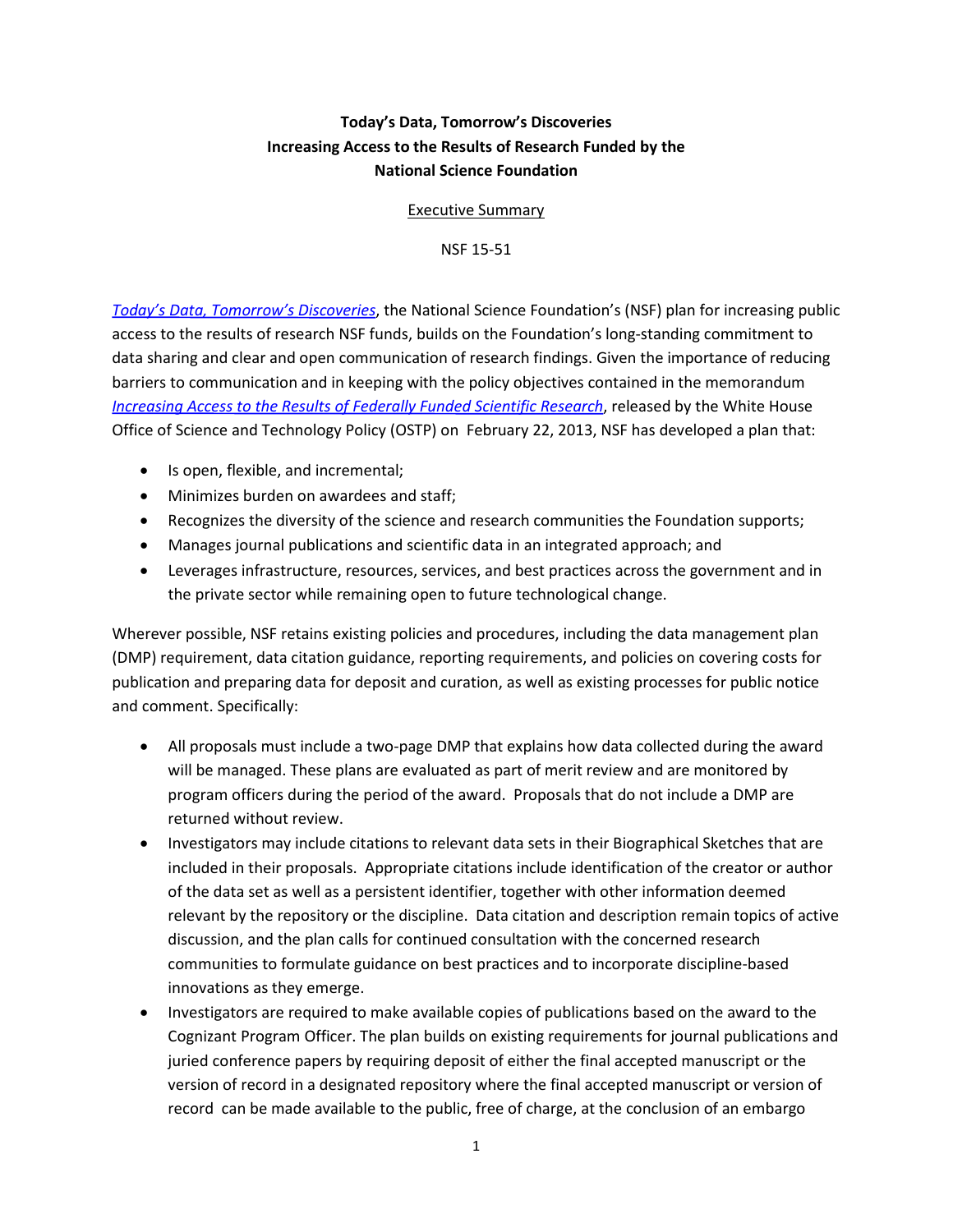## **Today's Data, Tomorrow's Discoveries Increasing Access to the Results of Research Funded by the National Science Foundation**

Executive Summary

NSF 15-51

*[Today's Data, Tomorrow's Discoveries](http://www.nsf.gov/pubs/2015/nsf15052/nsf15052.pdf)*, the National Science Foundation's (NSF) plan for increasing public access to the results of research NSF funds, builds on the Foundation's long-standing commitment to data sharing and clear and open communication of research findings. Given the importance of reducing barriers to communication and in keeping with the policy objectives contained in the memorandum *[Increasing Access to the Results of Federally Funded Scientific Research](https://www.whitehouse.gov/sites/default/files/microsites/ostp/ostp_public_access_memo_2013.pdf)*, released by the White House Office of Science and Technology Policy (OSTP) on February 22, 2013, NSF has developed a plan that:

- Is open, flexible, and incremental;
- Minimizes burden on awardees and staff;
- Recognizes the diversity of the science and research communities the Foundation supports;
- Manages journal publications and scientific data in an integrated approach; and
- Leverages infrastructure, resources, services, and best practices across the government and in the private sector while remaining open to future technological change.

Wherever possible, NSF retains existing policies and procedures, including the data management plan (DMP) requirement, data citation guidance, reporting requirements, and policies on covering costs for publication and preparing data for deposit and curation, as well as existing processes for public notice and comment. Specifically:

- All proposals must include a two-page DMP that explains how data collected during the award will be managed. These plans are evaluated as part of merit review and are monitored by program officers during the period of the award. Proposals that do not include a DMP are returned without review.
- Investigators may include citations to relevant data sets in their Biographical Sketches that are included in their proposals. Appropriate citations include identification of the creator or author of the data set as well as a persistent identifier, together with other information deemed relevant by the repository or the discipline. Data citation and description remain topics of active discussion, and the plan calls for continued consultation with the concerned research communities to formulate guidance on best practices and to incorporate discipline-based innovations as they emerge.
- Investigators are required to make available copies of publications based on the award to the Cognizant Program Officer. The plan builds on existing requirements for journal publications and juried conference papers by requiring deposit of either the final accepted manuscript or the version of record in a designated repository where the final accepted manuscript or version of record can be made available to the public, free of charge, at the conclusion of an embargo